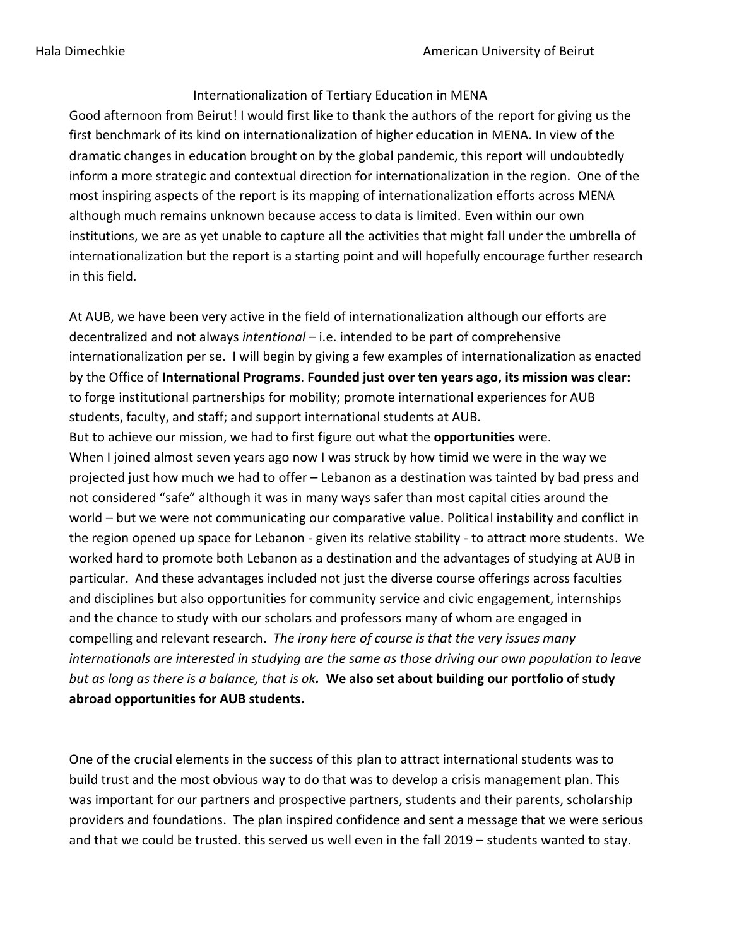## Internationalization of Tertiary Education in MENA

Good afternoon from Beirut! I would first like to thank the authors of the report for giving us the first benchmark of its kind on internationalization of higher education in MENA. In view of the dramatic changes in education brought on by the global pandemic, this report will undoubtedly inform a more strategic and contextual direction for internationalization in the region. One of the most inspiring aspects of the report is its mapping of internationalization efforts across MENA although much remains unknown because access to data is limited. Even within our own institutions, we are as yet unable to capture all the activities that might fall under the umbrella of internationalization but the report is a starting point and will hopefully encourage further research in this field.

At AUB, we have been very active in the field of internationalization although our efforts are decentralized and not always *intentional* – i.e. intended to be part of comprehensive internationalization per se. I will begin by giving a few examples of internationalization as enacted by the Office of **International Programs**. **Founded just over ten years ago, its mission was clear:**  to forge institutional partnerships for mobility; promote international experiences for AUB students, faculty, and staff; and support international students at AUB. But to achieve our mission, we had to first figure out what the **opportunities** were. When I joined almost seven years ago now I was struck by how timid we were in the way we projected just how much we had to offer – Lebanon as a destination was tainted by bad press and not considered "safe" although it was in many ways safer than most capital cities around the world – but we were not communicating our comparative value. Political instability and conflict in the region opened up space for Lebanon - given its relative stability - to attract more students. We worked hard to promote both Lebanon as a destination and the advantages of studying at AUB in particular. And these advantages included not just the diverse course offerings across faculties and disciplines but also opportunities for community service and civic engagement, internships and the chance to study with our scholars and professors many of whom are engaged in compelling and relevant research. *The irony here of course is that the very issues many internationals are interested in studying are the same as those driving our own population to leave but as long as there is a balance, that is ok.* **We also set about building our portfolio of study abroad opportunities for AUB students.**

One of the crucial elements in the success of this plan to attract international students was to build trust and the most obvious way to do that was to develop a crisis management plan. This was important for our partners and prospective partners, students and their parents, scholarship providers and foundations. The plan inspired confidence and sent a message that we were serious and that we could be trusted. this served us well even in the fall 2019 – students wanted to stay.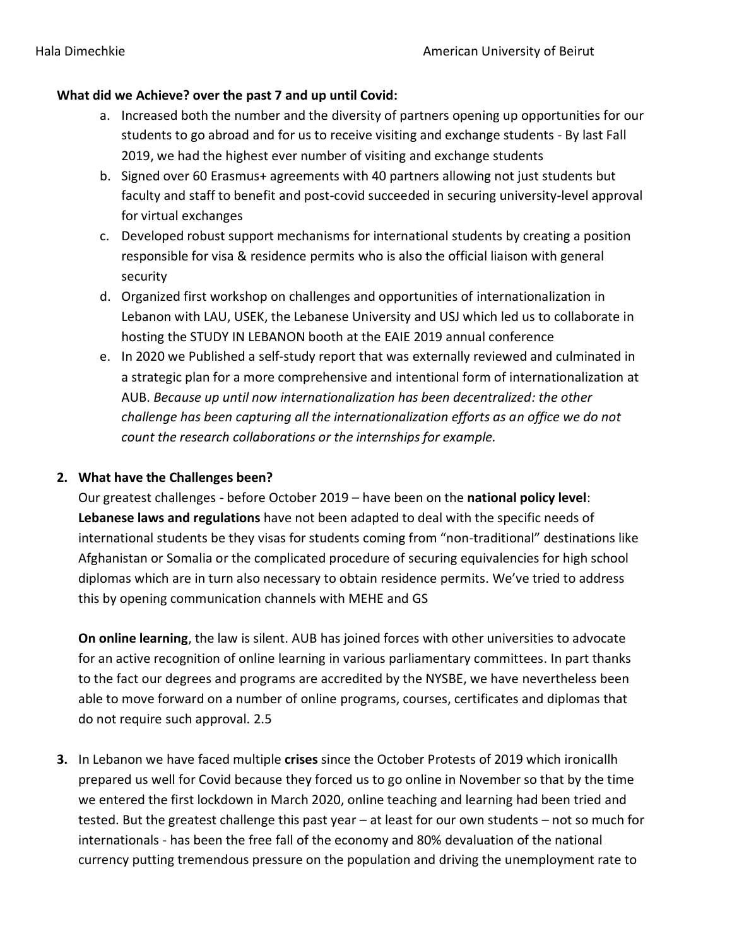## **What did we Achieve? over the past 7 and up until Covid:**

- a. Increased both the number and the diversity of partners opening up opportunities for our students to go abroad and for us to receive visiting and exchange students - By last Fall 2019, we had the highest ever number of visiting and exchange students
- b. Signed over 60 Erasmus+ agreements with 40 partners allowing not just students but faculty and staff to benefit and post-covid succeeded in securing university-level approval for virtual exchanges
- c. Developed robust support mechanisms for international students by creating a position responsible for visa & residence permits who is also the official liaison with general security
- d. Organized first workshop on challenges and opportunities of internationalization in Lebanon with LAU, USEK, the Lebanese University and USJ which led us to collaborate in hosting the STUDY IN LEBANON booth at the EAIE 2019 annual conference
- e. In 2020 we Published a self-study report that was externally reviewed and culminated in a strategic plan for a more comprehensive and intentional form of internationalization at AUB. *Because up until now internationalization has been decentralized: the other challenge has been capturing all the internationalization efforts as an office we do not count the research collaborations or the internships for example.*

## **2. What have the Challenges been?**

Our greatest challenges - before October 2019 – have been on the **national policy level**: **Lebanese laws and regulations** have not been adapted to deal with the specific needs of international students be they visas for students coming from "non-traditional" destinations like Afghanistan or Somalia or the complicated procedure of securing equivalencies for high school diplomas which are in turn also necessary to obtain residence permits. We've tried to address this by opening communication channels with MEHE and GS

**On online learning**, the law is silent. AUB has joined forces with other universities to advocate for an active recognition of online learning in various parliamentary committees. In part thanks to the fact our degrees and programs are accredited by the NYSBE, we have nevertheless been able to move forward on a number of online programs, courses, certificates and diplomas that do not require such approval. 2.5

**3.** In Lebanon we have faced multiple **crises** since the October Protests of 2019 which ironicallh prepared us well for Covid because they forced us to go online in November so that by the time we entered the first lockdown in March 2020, online teaching and learning had been tried and tested. But the greatest challenge this past year – at least for our own students – not so much for internationals - has been the free fall of the economy and 80% devaluation of the national currency putting tremendous pressure on the population and driving the unemployment rate to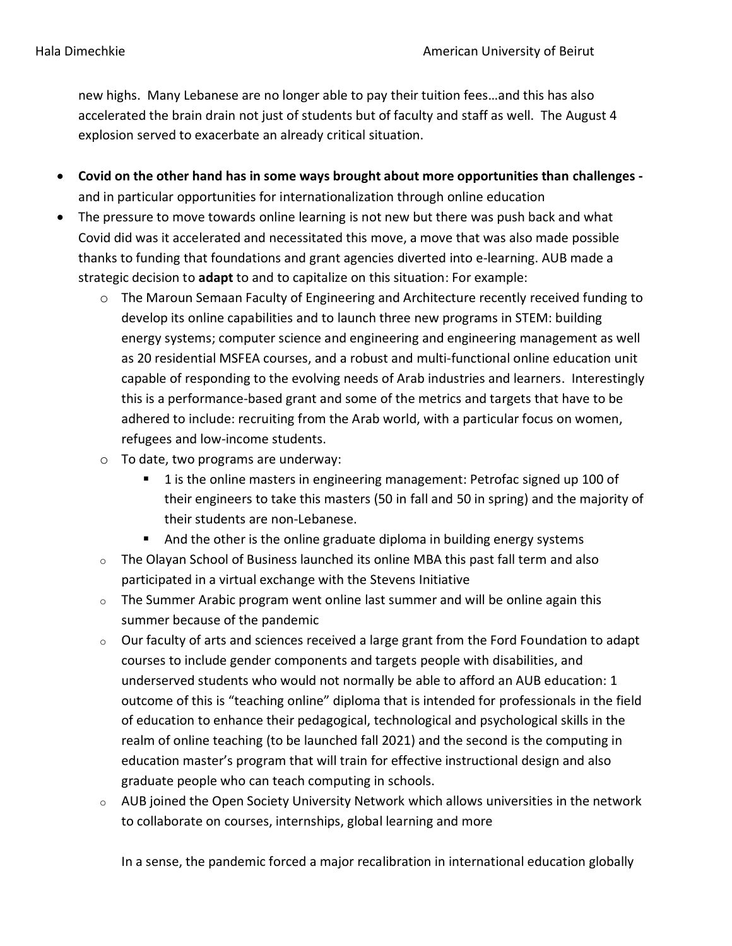new highs. Many Lebanese are no longer able to pay their tuition fees…and this has also accelerated the brain drain not just of students but of faculty and staff as well. The August 4 explosion served to exacerbate an already critical situation.

- **Covid on the other hand has in some ways brought about more opportunities than challenges**  and in particular opportunities for internationalization through online education
- The pressure to move towards online learning is not new but there was push back and what Covid did was it accelerated and necessitated this move, a move that was also made possible thanks to funding that foundations and grant agencies diverted into e-learning. AUB made a strategic decision to **adapt** to and to capitalize on this situation: For example:
	- $\circ$  The Maroun Semaan Faculty of Engineering and Architecture recently received funding to develop its online capabilities and to launch three new programs in STEM: building energy systems; computer science and engineering and engineering management as well as 20 residential MSFEA courses, and a robust and multi-functional online education unit capable of responding to the evolving needs of Arab industries and learners. Interestingly this is a performance-based grant and some of the metrics and targets that have to be adhered to include: recruiting from the Arab world, with a particular focus on women, refugees and low-income students.
	- o To date, two programs are underway:
		- 1 is the online masters in engineering management: Petrofac signed up 100 of their engineers to take this masters (50 in fall and 50 in spring) and the majority of their students are non-Lebanese.
		- And the other is the online graduate diploma in building energy systems
	- $\circ$  The Olayan School of Business launched its online MBA this past fall term and also participated in a virtual exchange with the Stevens Initiative
	- $\circ$  The Summer Arabic program went online last summer and will be online again this summer because of the pandemic
	- $\circ$  Our faculty of arts and sciences received a large grant from the Ford Foundation to adapt courses to include gender components and targets people with disabilities, and underserved students who would not normally be able to afford an AUB education: 1 outcome of this is "teaching online" diploma that is intended for professionals in the field of education to enhance their pedagogical, technological and psychological skills in the realm of online teaching (to be launched fall 2021) and the second is the computing in education master's program that will train for effective instructional design and also graduate people who can teach computing in schools.
	- o AUB joined the Open Society University Network which allows universities in the network to collaborate on courses, internships, global learning and more

In a sense, the pandemic forced a major recalibration in international education globally